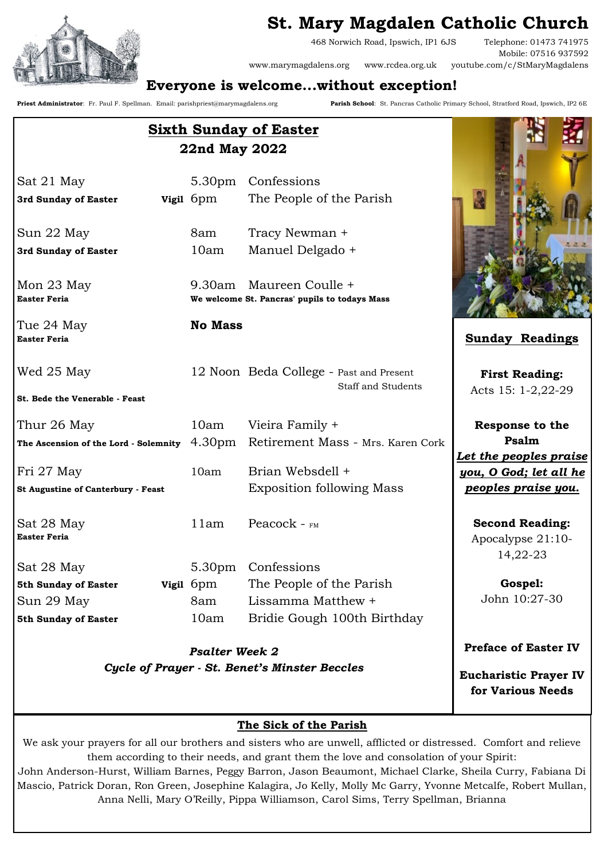



468 Norwich Road, Ipswich, IP1 6JS Telephone: 01473 741975 Mobile: 07516 937592 www.marymagdalens.org www.rcdea.org.uk youtube.com/c/StMaryMagdalens

# **Everyone is welcome...without exception!**

**Priest Administrator**: Fr. Paul F. Spellman. Email: parishpriest@marymagdalens.org **Parish School**: St. Pancras Catholic Primary School, Stratford Road, Ipswich, IP2 6E

| <b>Sixth Sunday of Easter</b><br>22nd May 2022 |                       |                                                                      |                                                         |
|------------------------------------------------|-----------------------|----------------------------------------------------------------------|---------------------------------------------------------|
| Sat 21 May                                     | 5.30 <sub>pm</sub>    | Confessions                                                          |                                                         |
| 3rd Sunday of Easter                           | <b>Vigil</b> 6pm      | The People of the Parish                                             |                                                         |
| Sun 22 May                                     | 8am                   | Tracy Newman +                                                       | 7.1.1                                                   |
| 3rd Sunday of Easter                           | 10am                  | Manuel Delgado +                                                     |                                                         |
| Mon 23 May<br><b>Easter Feria</b>              | 9.30am                | Maureen Coulle +<br>We welcome St. Pancras' pupils to todays Mass    |                                                         |
| Tue 24 May<br><b>Easter Feria</b>              | <b>No Mass</b>        |                                                                      | <b>Sunday Readings</b>                                  |
| Wed 25 May                                     |                       | 12 Noon Beda College - Past and Present<br><b>Staff and Students</b> | <b>First Reading:</b>                                   |
| St. Bede the Venerable - Feast                 |                       |                                                                      | Acts 15: 1-2,22-29                                      |
| Thur 26 May                                    | 10am                  | Vieira Family +                                                      | <b>Response to the</b>                                  |
| The Ascension of the Lord - Solemnity          |                       | 4.30pm Retirement Mass - Mrs. Karen Cork                             | Psalm                                                   |
| Fri 27 May                                     | 10am                  | Brian Websdell +                                                     | Let the peoples praise<br>you, O God; let all he        |
| <b>St Augustine of Canterbury - Feast</b>      |                       | <b>Exposition following Mass</b>                                     | <u>peoples praise you.</u>                              |
| Sat 28 May<br><b>Easter Feria</b>              | 11am                  | Peacock - $FMS$                                                      | <b>Second Reading:</b><br>Apocalypse 21:10-<br>14,22-23 |
| Sat 28 May                                     |                       | 5.30pm Confessions                                                   |                                                         |
| 5th Sunday of Easter                           | <b>Vigil</b> 6pm      | The People of the Parish                                             | Gospel:                                                 |
| Sun 29 May                                     | 8am                   | Lissamma Matthew +                                                   | John 10:27-30                                           |
| 5th Sunday of Easter                           | 10am                  | Bridie Gough 100th Birthday                                          |                                                         |
|                                                | <b>Psalter Week 2</b> |                                                                      | <b>Preface of Easter IV</b>                             |

*Cycle of Prayer - St. Benet's Minster Beccles*

**Eucharistic Prayer IV for Various Needs**

#### **The Sick of the Parish**

We ask your prayers for all our brothers and sisters who are unwell, afflicted or distressed. Comfort and relieve them according to their needs, and grant them the love and consolation of your Spirit:

John Anderson-Hurst, William Barnes, Peggy Barron, Jason Beaumont, Michael Clarke, Sheila Curry, Fabiana Di Mascio, Patrick Doran, Ron Green, Josephine Kalagira, Jo Kelly, Molly Mc Garry, Yvonne Metcalfe, Robert Mullan, Anna Nelli, Mary O'Reilly, Pippa Williamson, Carol Sims, Terry Spellman, Brianna